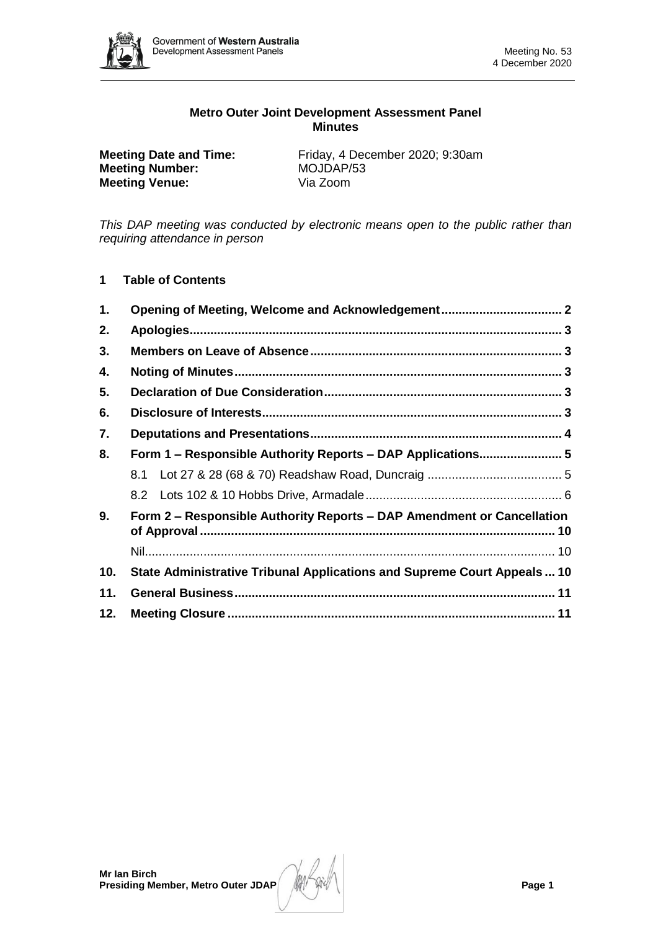

# **Metro Outer Joint Development Assessment Panel Minutes**

| <b>Meeting Date and Time:</b> | Friday, 4 December 2020; 9:30am |
|-------------------------------|---------------------------------|
| <b>Meeting Number:</b>        | MOJDAP/53                       |
| <b>Meeting Venue:</b>         | Via Zoom                        |

*This DAP meeting was conducted by electronic means open to the public rather than requiring attendance in person*

# **1 Table of Contents**

| 1.  |                                                                         |  |
|-----|-------------------------------------------------------------------------|--|
| 2.  |                                                                         |  |
| 3.  |                                                                         |  |
| 4.  |                                                                         |  |
| 5.  |                                                                         |  |
| 6.  |                                                                         |  |
| 7.  |                                                                         |  |
| 8.  | Form 1 - Responsible Authority Reports - DAP Applications 5             |  |
|     |                                                                         |  |
|     |                                                                         |  |
| 9.  | Form 2 – Responsible Authority Reports – DAP Amendment or Cancellation  |  |
|     |                                                                         |  |
| 10. | State Administrative Tribunal Applications and Supreme Court Appeals 10 |  |
| 11. |                                                                         |  |
| 12. |                                                                         |  |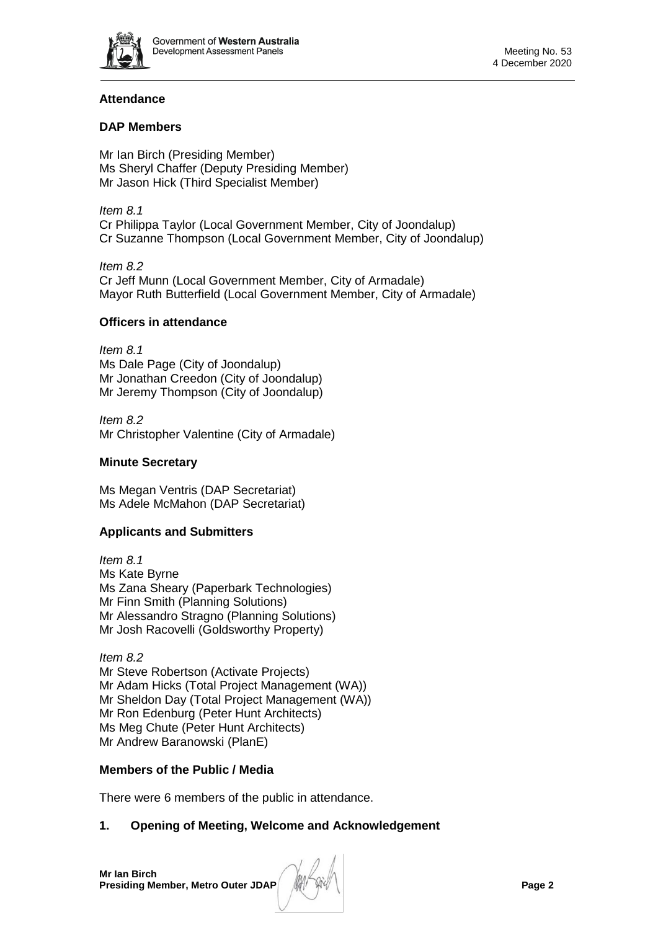

# **Attendance**

# **DAP Members**

Mr Ian Birch (Presiding Member) Ms Sheryl Chaffer (Deputy Presiding Member) Mr Jason Hick (Third Specialist Member)

*Item 8.1* Cr Philippa Taylor (Local Government Member, City of Joondalup) Cr Suzanne Thompson (Local Government Member, City of Joondalup)

*Item 8.2* Cr Jeff Munn (Local Government Member, City of Armadale) Mayor Ruth Butterfield (Local Government Member, City of Armadale)

# **Officers in attendance**

*Item 8.1* Ms Dale Page (City of Joondalup) Mr Jonathan Creedon (City of Joondalup) Mr Jeremy Thompson (City of Joondalup)

*Item 8.2* Mr Christopher Valentine (City of Armadale)

# **Minute Secretary**

Ms Megan Ventris (DAP Secretariat) Ms Adele McMahon (DAP Secretariat)

# **Applicants and Submitters**

*Item 8.1* Ms Kate Byrne Ms Zana Sheary (Paperbark Technologies) Mr Finn Smith (Planning Solutions) Mr Alessandro Stragno (Planning Solutions) Mr Josh Racovelli (Goldsworthy Property)

*Item 8.2* Mr Steve Robertson (Activate Projects) Mr Adam Hicks (Total Project Management (WA)) Mr Sheldon Day (Total Project Management (WA)) Mr Ron Edenburg (Peter Hunt Architects) Ms Meg Chute (Peter Hunt Architects) Mr Andrew Baranowski (PlanE)

# **Members of the Public / Media**

There were 6 members of the public in attendance.

# <span id="page-1-0"></span>**1. Opening of Meeting, Welcome and Acknowledgement**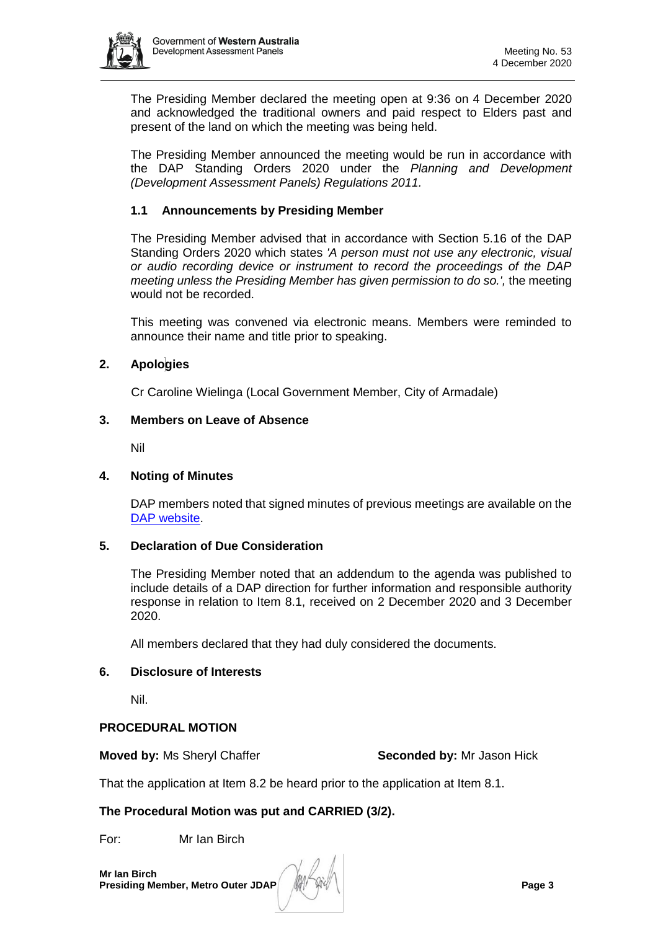

The Presiding Member declared the meeting open at 9:36 on 4 December 2020 and acknowledged the traditional owners and paid respect to Elders past and present of the land on which the meeting was being held.

The Presiding Member announced the meeting would be run in accordance with the DAP Standing Orders 2020 under the *Planning and Development (Development Assessment Panels) Regulations 2011.*

# **1.1 Announcements by Presiding Member**

The Presiding Member advised that in accordance with Section 5.16 of the DAP Standing Orders 2020 which states *'A person must not use any electronic, visual or audio recording device or instrument to record the proceedings of the DAP meeting unless the Presiding Member has given permission to do so.',* the meeting would not be recorded.

This meeting was convened via electronic means. Members were reminded to announce their name and title prior to speaking.

# <span id="page-2-0"></span>**2. Apologies**

Cr Caroline Wielinga (Local Government Member, City of Armadale)

## <span id="page-2-1"></span>**3. Members on Leave of Absence**

Nil

### <span id="page-2-2"></span>**4. Noting of Minutes**

DAP members noted that signed minutes of previous meetings are available on the [DAP website.](https://www.dplh.wa.gov.au/about/development-assessment-panels/daps-agendas-and-minutes)

### <span id="page-2-3"></span>**5. Declaration of Due Consideration**

The Presiding Member noted that an addendum to the agenda was published to include details of a DAP direction for further information and responsible authority response in relation to Item 8.1, received on 2 December 2020 and 3 December 2020.

All members declared that they had duly considered the documents.

# <span id="page-2-4"></span>**6. Disclosure of Interests**

Nil.

# **PROCEDURAL MOTION**

**Moved by:** Ms Sheryl Chaffer **Seconded by:** Mr Jason Hick

That the application at Item 8.2 be heard prior to the application at Item 8.1.

# **The Procedural Motion was put and CARRIED (3/2).**

For: Mr Ian Birch

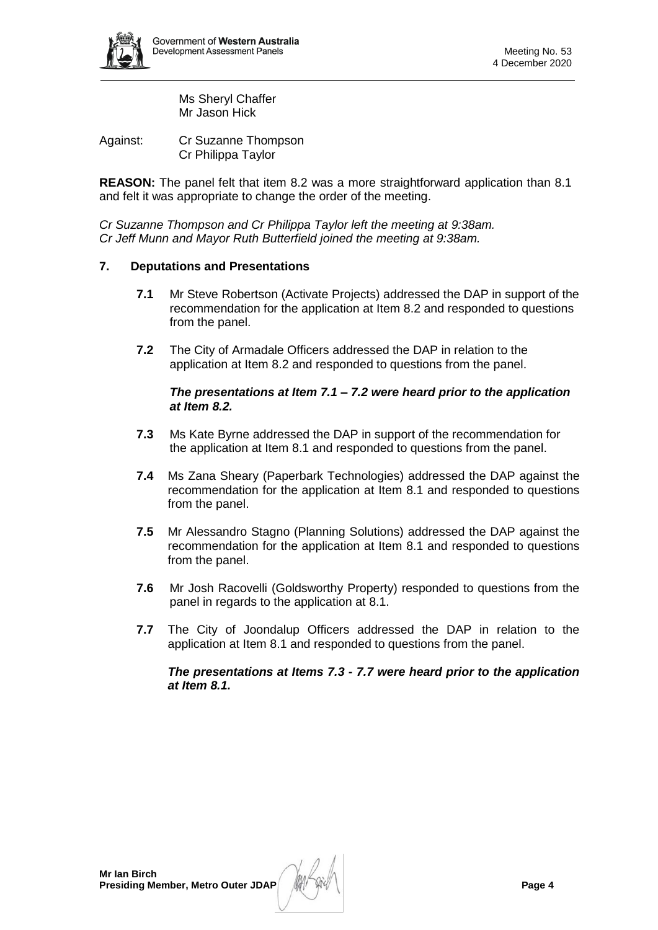

Ms Sheryl Chaffer Mr Jason Hick

Against: Cr Suzanne Thompson Cr Philippa Taylor

**REASON:** The panel felt that item 8.2 was a more straightforward application than 8.1 and felt it was appropriate to change the order of the meeting.

*Cr Suzanne Thompson and Cr Philippa Taylor left the meeting at 9:38am. Cr Jeff Munn and Mayor Ruth Butterfield joined the meeting at 9:38am.*

# <span id="page-3-0"></span>**7. Deputations and Presentations**

- **7.1** Mr Steve Robertson (Activate Projects) addressed the DAP in support of the recommendation for the application at Item 8.2 and responded to questions from the panel.
- **7.2** The City of Armadale Officers addressed the DAP in relation to the application at Item 8.2 and responded to questions from the panel.

## *The presentations at Item 7.1 – 7.2 were heard prior to the application at Item 8.2.*

- **7.3** Ms Kate Byrne addressed the DAP in support of the recommendation for the application at Item 8.1 and responded to questions from the panel.
- **7.4** Ms Zana Sheary (Paperbark Technologies) addressed the DAP against the recommendation for the application at Item 8.1 and responded to questions from the panel.
- **7.5** Mr Alessandro Stagno (Planning Solutions) addressed the DAP against the recommendation for the application at Item 8.1 and responded to questions from the panel.
- **7.6** Mr Josh Racovelli (Goldsworthy Property) responded to questions from the panel in regards to the application at 8.1.
- **7.7** The City of Joondalup Officers addressed the DAP in relation to the application at Item 8.1 and responded to questions from the panel.

<span id="page-3-1"></span>*The presentations at Items 7.3 - 7.7 were heard prior to the application at Item 8.1.*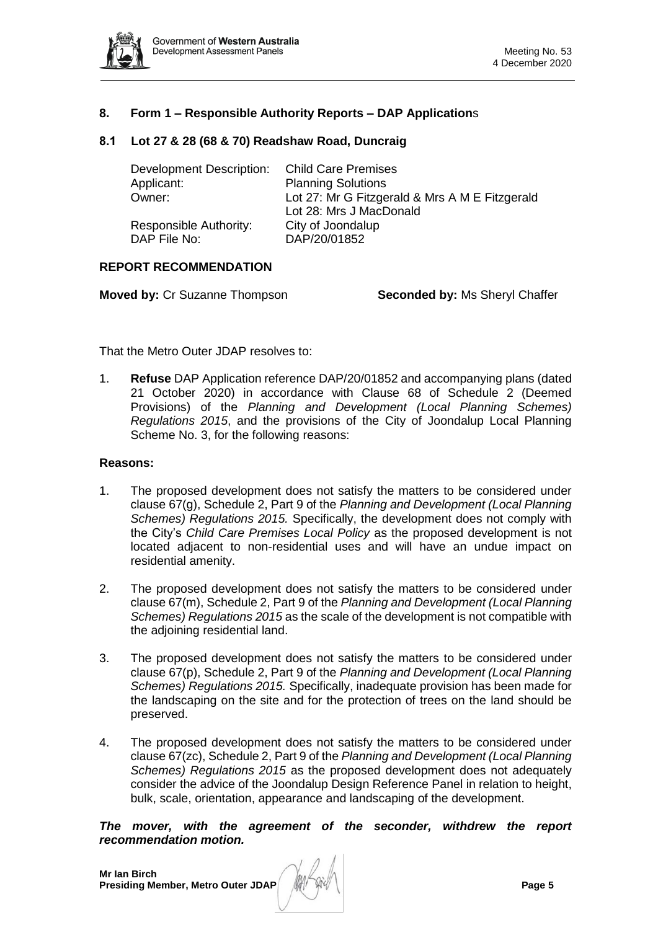

## **8. Form 1 – Responsible Authority Reports – DAP Application**s

### <span id="page-4-0"></span>**8.1 Lot 27 & 28 (68 & 70) Readshaw Road, Duncraig**

| <b>Child Care Premises</b>                     |
|------------------------------------------------|
| <b>Planning Solutions</b>                      |
| Lot 27: Mr G Fitzgerald & Mrs A M E Fitzgerald |
| Lot 28: Mrs J MacDonald                        |
| City of Joondalup                              |
| DAP/20/01852                                   |
|                                                |

## **REPORT RECOMMENDATION**

**Moved by:** Cr Suzanne Thompson **Seconded by:** Ms Sheryl Chaffer

That the Metro Outer JDAP resolves to:

1. **Refuse** DAP Application reference DAP/20/01852 and accompanying plans (dated 21 October 2020) in accordance with Clause 68 of Schedule 2 (Deemed Provisions) of the *Planning and Development (Local Planning Schemes) Regulations 2015*, and the provisions of the City of Joondalup Local Planning Scheme No. 3, for the following reasons:

### **Reasons:**

- 1. The proposed development does not satisfy the matters to be considered under clause 67(g), Schedule 2, Part 9 of the *Planning and Development (Local Planning Schemes) Regulations 2015.* Specifically, the development does not comply with the City's *Child Care Premises Local Policy* as the proposed development is not located adjacent to non-residential uses and will have an undue impact on residential amenity.
- 2. The proposed development does not satisfy the matters to be considered under clause 67(m), Schedule 2, Part 9 of the *Planning and Development (Local Planning Schemes) Regulations 2015* as the scale of the development is not compatible with the adjoining residential land.
- 3. The proposed development does not satisfy the matters to be considered under clause 67(p), Schedule 2, Part 9 of the *Planning and Development (Local Planning Schemes) Regulations 2015.* Specifically, inadequate provision has been made for the landscaping on the site and for the protection of trees on the land should be preserved.
- 4. The proposed development does not satisfy the matters to be considered under clause 67(zc), Schedule 2, Part 9 of the *Planning and Development (Local Planning Schemes) Regulations 2015* as the proposed development does not adequately consider the advice of the Joondalup Design Reference Panel in relation to height, bulk, scale, orientation, appearance and landscaping of the development.

*The mover, with the agreement of the seconder, withdrew the report recommendation motion.*

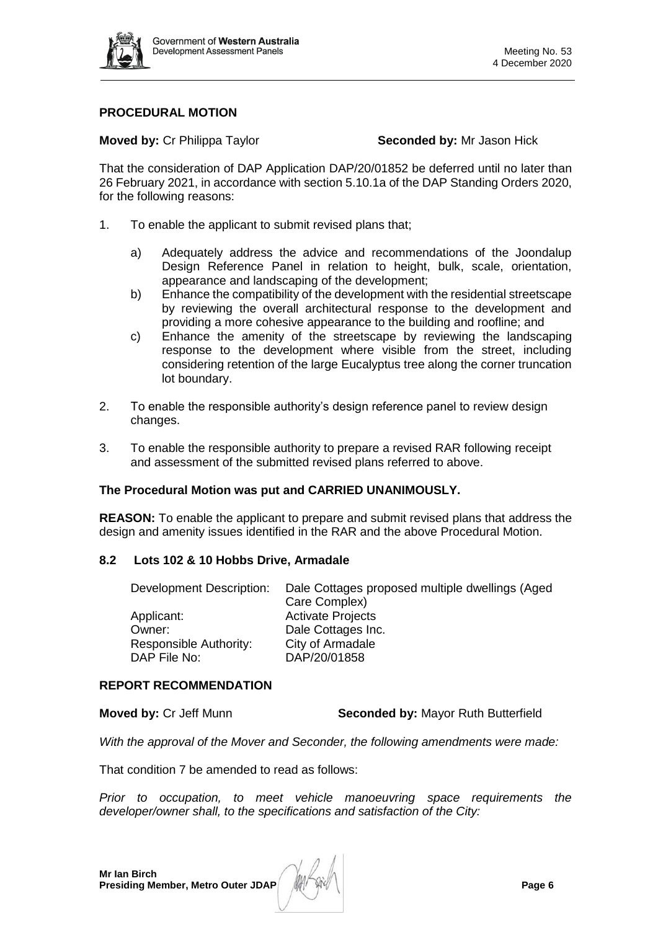

# **PROCEDURAL MOTION**

**Moved by:** Cr Philippa Taylor **Seconded by:** Mr Jason Hick

That the consideration of DAP Application DAP/20/01852 be deferred until no later than 26 February 2021, in accordance with section 5.10.1a of the DAP Standing Orders 2020, for the following reasons:

- 1. To enable the applicant to submit revised plans that;
	- a) Adequately address the advice and recommendations of the Joondalup Design Reference Panel in relation to height, bulk, scale, orientation, appearance and landscaping of the development;
	- b) Enhance the compatibility of the development with the residential streetscape by reviewing the overall architectural response to the development and providing a more cohesive appearance to the building and roofline; and
	- c) Enhance the amenity of the streetscape by reviewing the landscaping response to the development where visible from the street, including considering retention of the large Eucalyptus tree along the corner truncation lot boundary.
- 2. To enable the responsible authority's design reference panel to review design changes.
- 3. To enable the responsible authority to prepare a revised RAR following receipt and assessment of the submitted revised plans referred to above.

# **The Procedural Motion was put and CARRIED UNANIMOUSLY.**

**REASON:** To enable the applicant to prepare and submit revised plans that address the design and amenity issues identified in the RAR and the above Procedural Motion.

# **8.2 Lots 102 & 10 Hobbs Drive, Armadale**

<span id="page-5-0"></span>

| Development Description: | Dale Cottages proposed multiple dwellings (Aged |
|--------------------------|-------------------------------------------------|
|                          | Care Complex)                                   |
| Applicant:               | <b>Activate Projects</b>                        |
| Owner:                   | Dale Cottages Inc.                              |
| Responsible Authority:   | City of Armadale                                |
| DAP File No:             | DAP/20/01858                                    |

### **REPORT RECOMMENDATION**

**Moved by:** Cr Jeff Munn **Seconded by:** Mayor Ruth Butterfield

*With the approval of the Mover and Seconder, the following amendments were made:*

That condition 7 be amended to read as follows:

*Prior to occupation, to meet vehicle manoeuvring space requirements the developer/owner shall, to the specifications and satisfaction of the City:*

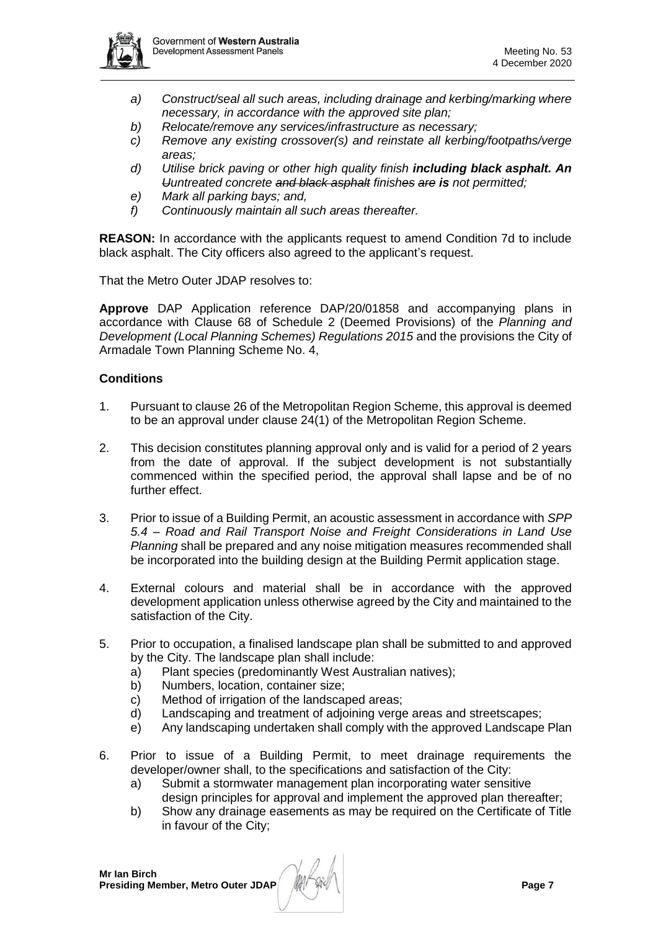

- *a) Construct/seal all such areas, including drainage and kerbing/marking where necessary, in accordance with the approved site plan;*
- *b) Relocate/remove any services/infrastructure as necessary;*
- *c) Remove any existing crossover(s) and reinstate all kerbing/footpaths/verge areas;*
- *d) Utilise brick paving or other high quality finish including black asphalt. An Uuntreated concrete and black asphalt finishes are is not permitted;*
- *e) Mark all parking bays; and,*
- *f) Continuously maintain all such areas thereafter.*

**REASON:** In accordance with the applicants request to amend Condition 7d to include black asphalt. The City officers also agreed to the applicant's request.

That the Metro Outer JDAP resolves to:

**Approve** DAP Application reference DAP/20/01858 and accompanying plans in accordance with Clause 68 of Schedule 2 (Deemed Provisions) of the *Planning and Development (Local Planning Schemes) Regulations 2015* and the provisions the City of Armadale Town Planning Scheme No. 4,

# **Conditions**

- 1. Pursuant to clause 26 of the Metropolitan Region Scheme, this approval is deemed to be an approval under clause 24(1) of the Metropolitan Region Scheme.
- 2. This decision constitutes planning approval only and is valid for a period of 2 years from the date of approval. If the subject development is not substantially commenced within the specified period, the approval shall lapse and be of no further effect.
- 3. Prior to issue of a Building Permit, an acoustic assessment in accordance with *SPP 5.4 – Road and Rail Transport Noise and Freight Considerations in Land Use Planning* shall be prepared and any noise mitigation measures recommended shall be incorporated into the building design at the Building Permit application stage.
- 4. External colours and material shall be in accordance with the approved development application unless otherwise agreed by the City and maintained to the satisfaction of the City.
- 5. Prior to occupation, a finalised landscape plan shall be submitted to and approved by the City. The landscape plan shall include:
	- a) Plant species (predominantly West Australian natives);
	- b) Numbers, location, container size;
	- c) Method of irrigation of the landscaped areas;
	- d) Landscaping and treatment of adjoining verge areas and streetscapes;
	- e) Any landscaping undertaken shall comply with the approved Landscape Plan
- 6. Prior to issue of a Building Permit, to meet drainage requirements the developer/owner shall, to the specifications and satisfaction of the City:
	- a) Submit a stormwater management plan incorporating water sensitive design principles for approval and implement the approved plan thereafter;
	- b) Show any drainage easements as may be required on the Certificate of Title in favour of the City;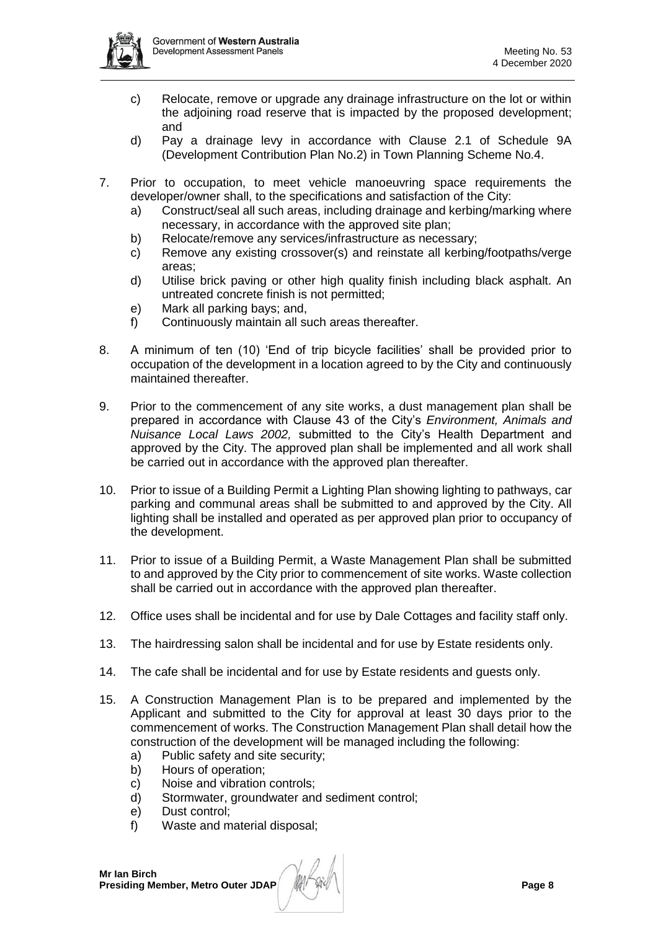

- c) Relocate, remove or upgrade any drainage infrastructure on the lot or within the adjoining road reserve that is impacted by the proposed development; and
- d) Pay a drainage levy in accordance with Clause 2.1 of Schedule 9A (Development Contribution Plan No.2) in Town Planning Scheme No.4.
- 7. Prior to occupation, to meet vehicle manoeuvring space requirements the developer/owner shall, to the specifications and satisfaction of the City:
	- a) Construct/seal all such areas, including drainage and kerbing/marking where necessary, in accordance with the approved site plan;
	- b) Relocate/remove any services/infrastructure as necessary;
	- c) Remove any existing crossover(s) and reinstate all kerbing/footpaths/verge areas;
	- d) Utilise brick paving or other high quality finish including black asphalt. An untreated concrete finish is not permitted;
	- e) Mark all parking bays; and,
	- f) Continuously maintain all such areas thereafter.
- 8. A minimum of ten (10) 'End of trip bicycle facilities' shall be provided prior to occupation of the development in a location agreed to by the City and continuously maintained thereafter.
- 9. Prior to the commencement of any site works, a dust management plan shall be prepared in accordance with Clause 43 of the City's *Environment, Animals and Nuisance Local Laws 2002,* submitted to the City's Health Department and approved by the City. The approved plan shall be implemented and all work shall be carried out in accordance with the approved plan thereafter.
- 10. Prior to issue of a Building Permit a Lighting Plan showing lighting to pathways, car parking and communal areas shall be submitted to and approved by the City. All lighting shall be installed and operated as per approved plan prior to occupancy of the development.
- 11. Prior to issue of a Building Permit, a Waste Management Plan shall be submitted to and approved by the City prior to commencement of site works. Waste collection shall be carried out in accordance with the approved plan thereafter.
- 12. Office uses shall be incidental and for use by Dale Cottages and facility staff only.
- 13. The hairdressing salon shall be incidental and for use by Estate residents only.
- 14. The cafe shall be incidental and for use by Estate residents and guests only.
- 15. A Construction Management Plan is to be prepared and implemented by the Applicant and submitted to the City for approval at least 30 days prior to the commencement of works. The Construction Management Plan shall detail how the construction of the development will be managed including the following:
	- a) Public safety and site security;
	- b) Hours of operation;
	- c) Noise and vibration controls;
	- d) Stormwater, groundwater and sediment control;
	- e) Dust control;
	- f) Waste and material disposal;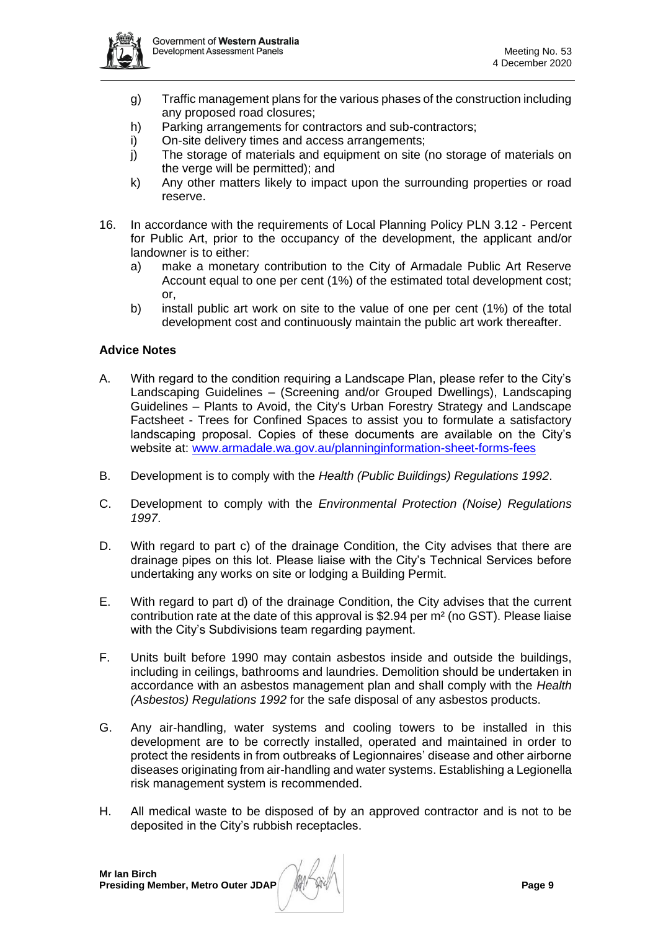

- g) Traffic management plans for the various phases of the construction including any proposed road closures;
- h) Parking arrangements for contractors and sub-contractors;
- i) On-site delivery times and access arrangements;
- j) The storage of materials and equipment on site (no storage of materials on the verge will be permitted); and
- k) Any other matters likely to impact upon the surrounding properties or road reserve.
- 16. In accordance with the requirements of Local Planning Policy PLN 3.12 Percent for Public Art, prior to the occupancy of the development, the applicant and/or landowner is to either:
	- a) make a monetary contribution to the City of Armadale Public Art Reserve Account equal to one per cent (1%) of the estimated total development cost; or,
	- b) install public art work on site to the value of one per cent (1%) of the total development cost and continuously maintain the public art work thereafter.

### **Advice Notes**

- A. With regard to the condition requiring a Landscape Plan, please refer to the City's Landscaping Guidelines – (Screening and/or Grouped Dwellings), Landscaping Guidelines – Plants to Avoid, the City's Urban Forestry Strategy and Landscape Factsheet - Trees for Confined Spaces to assist you to formulate a satisfactory landscaping proposal. Copies of these documents are available on the City's website at: [www.armadale.wa.gov.au/planninginformation-sheet-forms-fees](http://www.armadale.wa.gov.au/planninginformation-sheet-forms-fees)
- B. Development is to comply with the *Health (Public Buildings) Regulations 1992*.
- C. Development to comply with the *Environmental Protection (Noise) Regulations 1997*.
- D. With regard to part c) of the drainage Condition, the City advises that there are drainage pipes on this lot. Please liaise with the City's Technical Services before undertaking any works on site or lodging a Building Permit.
- E. With regard to part d) of the drainage Condition, the City advises that the current contribution rate at the date of this approval is \$2.94 per m² (no GST). Please liaise with the City's Subdivisions team regarding payment.
- F. Units built before 1990 may contain asbestos inside and outside the buildings, including in ceilings, bathrooms and laundries. Demolition should be undertaken in accordance with an asbestos management plan and shall comply with the *Health (Asbestos) Regulations 1992* for the safe disposal of any asbestos products.
- G. Any air-handling, water systems and cooling towers to be installed in this development are to be correctly installed, operated and maintained in order to protect the residents in from outbreaks of Legionnaires' disease and other airborne diseases originating from air-handling and water systems. Establishing a Legionella risk management system is recommended.
- H. All medical waste to be disposed of by an approved contractor and is not to be deposited in the City's rubbish receptacles.

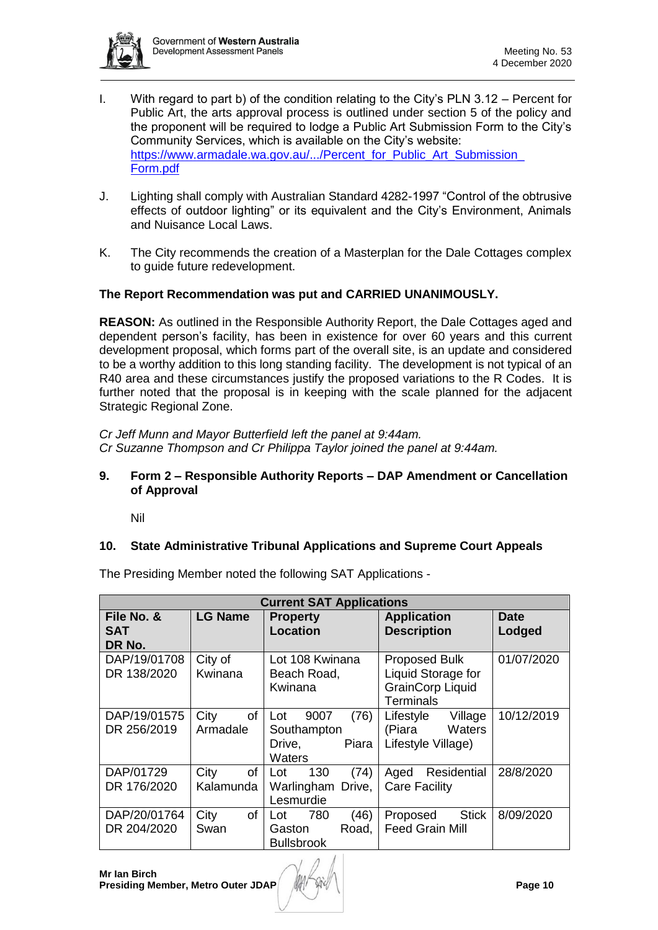

- I. With regard to part b) of the condition relating to the City's PLN 3.12 Percent for Public Art, the arts approval process is outlined under section 5 of the policy and the proponent will be required to lodge a Public Art Submission Form to the City's Community Services, which is available on the City's website: https://www.armadale.wa.gov.au/.../Percent\_for\_Public\_Art\_Submission [Form.pdf](https://www.armadale.wa.gov.au/.../Percent_for_Public_Art_Submission_%20Form.pdf)
- J. Lighting shall comply with Australian Standard 4282-1997 "Control of the obtrusive effects of outdoor lighting" or its equivalent and the City's Environment, Animals and Nuisance Local Laws.
- K. The City recommends the creation of a Masterplan for the Dale Cottages complex to guide future redevelopment.

# **The Report Recommendation was put and CARRIED UNANIMOUSLY.**

**REASON:** As outlined in the Responsible Authority Report, the Dale Cottages aged and dependent person's facility, has been in existence for over 60 years and this current development proposal, which forms part of the overall site, is an update and considered to be a worthy addition to this long standing facility. The development is not typical of an R40 area and these circumstances justify the proposed variations to the R Codes. It is further noted that the proposal is in keeping with the scale planned for the adjacent Strategic Regional Zone.

*Cr Jeff Munn and Mayor Butterfield left the panel at 9:44am. Cr Suzanne Thompson and Cr Philippa Taylor joined the panel at 9:44am.*

## <span id="page-9-0"></span>**9. Form 2 – Responsible Authority Reports – DAP Amendment or Cancellation of Approval**

Nil

# <span id="page-9-2"></span><span id="page-9-1"></span>**10. State Administrative Tribunal Applications and Supreme Court Appeals**

**Current SAT Applications File No. & SAT DR No. LG Name** | Property **Location Application Description Date Lodged** DAP/19/01708 DR 138/2020 City of Kwinana Lot 108 Kwinana Beach Road, Kwinana Proposed Bulk Liquid Storage for GrainCorp Liquid **Terminals** 01/07/2020 DAP/19/01575 DR 256/2019 City of Armadale Lot 9007 (76) Southampton Drive, Piara **Waters** Lifestyle Village (Piara Waters Lifestyle Village) 10/12/2019 DAP/01729 DR 176/2020 City of Kalamunda Lot 130 (74) Warlingham Drive, Lesmurdie Aged Residential Care Facility 28/8/2020 DAP/20/01764 DR 204/2020 City of Swan Lot 780 (46) Gaston Road, **Bullsbrook** Proposed Stick Feed Grain Mill 8/09/2020

The Presiding Member noted the following SAT Applications -